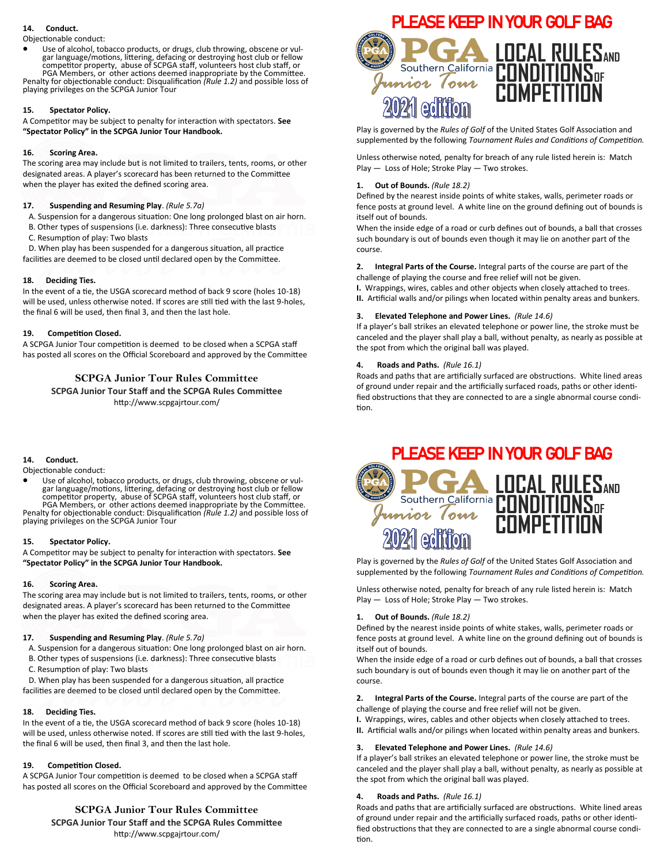## **14. Conduct.**

#### Objectionable conduct:

Use of alcohol, tobacco products, or drugs, club throwing, obscene or vulgar language/motions, littering, defacing or destroying host club or fellow competitor property, abuse of SCPGA staff, volunteers host club staff, or PGA Members, or other actions deemed inappropriate by the Committee.

Penalty for objectionable conduct: Disqualification *(Rule 1.2)* and possible loss of playing privileges on the SCPGA Junior Tour

### **15. Spectator Policy.**

A Competitor may be subject to penalty for interaction with spectators. **See "Spectator Policy" in the SCPGA Junior Tour Handbook.**

### **16. Scoring Area.**

The scoring area may include but is not limited to trailers, tents, rooms, or other designated areas. A player's scorecard has been returned to the Committee when the player has exited the defined scoring area.

### **17. Suspending and Resuming Play**. *(Rule 5.7a)*

- A. Suspension for a dangerous situation: One long prolonged blast on air horn.
- **B. Other types of suspensions (i.e. darkness): Three consecutive blasts**
- C. Resumption of play: Two blasts

 D. When play has been suspended for a dangerous situation, all practice facilities are deemed to be closed until declared open by the Committee.

### **18. Deciding Ties.**

In the event of a tie, the USGA scorecard method of back 9 score (holes 10-18) will be used, unless otherwise noted. If scores are still tied with the last 9-holes, the final 6 will be used, then final 3, and then the last hole.

### **19. Competition Closed.**

A SCPGA Junior Tour competition is deemed to be closed when a SCPGA staff has posted all scores on the Official Scoreboard and approved by the Committee

# **SCPGA Junior Tour Rules Committee SCPGA Junior Tour Staff and the SCPGA Rules Committee** http://www.scpgajrtour.com/

### **14. Conduct.**

Objectionable conduct:

Use of alcohol, tobacco products, or drugs, club throwing, obscene or vulgar language/motions, littering, defacing or destroying host club or fellow competitor property, abuse of SCPGA staff, volunteers host club staff, or PGA Members, or other actions deemed inappropriate by the Committee.

Penalty for objectionable conduct: Disqualification *(Rule 1.2)* and possible loss of playing privileges on the SCPGA Junior Tour

### **15. Spectator Policy.**

A Competitor may be subject to penalty for interaction with spectators. **See "Spectator Policy" in the SCPGA Junior Tour Handbook.**

### **16. Scoring Area.**

The scoring area may include but is not limited to trailers, tents, rooms, or other designated areas. A player's scorecard has been returned to the Committee when the player has exited the defined scoring area.

### **17. Suspending and Resuming Play**. *(Rule 5.7a)*

- A. Suspension for a dangerous situation: One long prolonged blast on air horn.
- **B. Other types of suspensions (i.e. darkness): Three consecutive blasts**
- C. Resumption of play: Two blasts

 D. When play has been suspended for a dangerous situation, all practice facilities are deemed to be closed until declared open by the Committee.

### **18. Deciding Ties.**

In the event of a tie, the USGA scorecard method of back 9 score (holes 10-18) will be used, unless otherwise noted. If scores are still tied with the last 9-holes, the final 6 will be used, then final 3, and then the last hole.

### **19. Competition Closed.**

A SCPGA Junior Tour competition is deemed to be closed when a SCPGA staff has posted all scores on the Official Scoreboard and approved by the Committee

# **SCPGA Junior Tour Rules Committee**

**SCPGA Junior Tour Staff and the SCPGA Rules Committee** http://www.scpgajrtour.com/



Play is governed by the *Rules of Golf* of the United States Golf Association and supplemented by the following *Tournament Rules and Conditions of Competition.* 

Unless otherwise noted*,* penalty for breach of any rule listed herein is: Match Play — Loss of Hole; Stroke Play — Two strokes.

### **1. Out of Bounds.** *(Rule 18.2)*

Defined by the nearest inside points of white stakes, walls, perimeter roads or fence posts at ground level. A white line on the ground defining out of bounds is itself out of bounds.

When the inside edge of a road or curb defines out of bounds, a ball that crosses such boundary is out of bounds even though it may lie on another part of the course.

**2. Integral Parts of the Course.** Integral parts of the course are part of the challenge of playing the course and free relief will not be given.

**I.** Wrappings, wires, cables and other objects when closely attached to trees.

**II.** Artificial walls and/or pilings when located within penalty areas and bunkers.

### **3. Elevated Telephone and Power Lines.** *(Rule 14.6)*

If a player's ball strikes an elevated telephone or power line, the stroke must be canceled and the player shall play a ball, without penalty, as nearly as possible at the spot from which the original ball was played.

### **4. Roads and Paths.** *(Rule 16.1)*

Roads and paths that are artificially surfaced are obstructions. White lined areas of ground under repair and the artificially surfaced roads, paths or other identified obstructions that they are connected to are a single abnormal course condition.



Play is governed by the *Rules of Golf* of the United States Golf Association and supplemented by the following *Tournament Rules and Conditions of Competition.* 

Unless otherwise noted*,* penalty for breach of any rule listed herein is: Match Play — Loss of Hole; Stroke Play — Two strokes.

### **1. Out of Bounds.** *(Rule 18.2)*

Defined by the nearest inside points of white stakes, walls, perimeter roads or fence posts at ground level. A white line on the ground defining out of bounds is itself out of bounds.

When the inside edge of a road or curb defines out of bounds, a ball that crosses such boundary is out of bounds even though it may lie on another part of the course.

**2. Integral Parts of the Course.** Integral parts of the course are part of the challenge of playing the course and free relief will not be given.

**I.** Wrappings, wires, cables and other objects when closely attached to trees.

**II.** Artificial walls and/or pilings when located within penalty areas and bunkers.

## **3. Elevated Telephone and Power Lines.** *(Rule 14.6)*

If a player's ball strikes an elevated telephone or power line, the stroke must be canceled and the player shall play a ball, without penalty, as nearly as possible at the spot from which the original ball was played.

### **4. Roads and Paths.** *(Rule 16.1)*

Roads and paths that are artificially surfaced are obstructions. White lined areas of ground under repair and the artificially surfaced roads, paths or other identified obstructions that they are connected to are a single abnormal course condition.